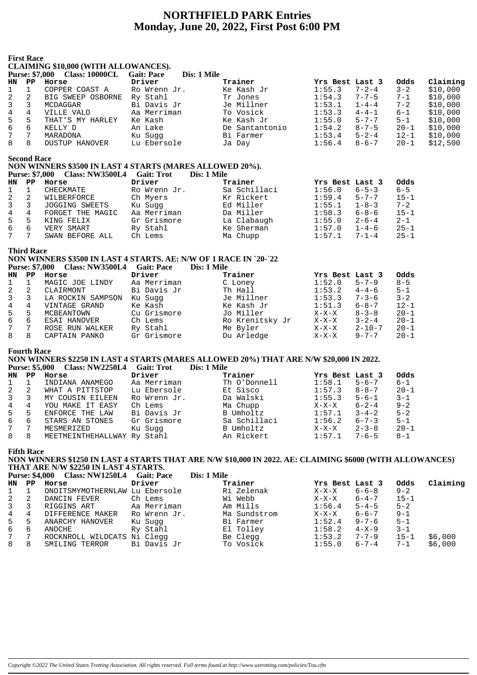# **NORTHFIELD PARK Entries Monday, June 20, 2022, First Post 6:00 PM**

|                | <b>First Race</b>     | <b>CLAIMING \$10,000 (WITH ALLOWANCES).</b>                       |              |                 |                 |              |             |          |
|----------------|-----------------------|-------------------------------------------------------------------|--------------|-----------------|-----------------|--------------|-------------|----------|
|                |                       | <b>Purse: \$7,000 Class: 10000CL Gait: Pace</b>                   | Dis: 1 Mile  |                 |                 |              |             |          |
| HN             | $\mathbf{PP}$         | Horse                                                             | Driver       | Trainer         | Yrs Best Last 3 |              | Odds        | Claiming |
| 1              | $\mathbf{1}$          | COPPER COAST A                                                    | Ro Wrenn Jr. | Ke Kash Jr      | 1:55.3          | $7 - 2 - 4$  | $3 - 2$     | \$10,000 |
| 2              | $\overline{a}$        | BIG SWEEP OSBORNE Ry Stahl                                        |              | Tr Jones        | 1:54.3          | $7 - 7 - 5$  | $7 - 1$     | \$10,000 |
| 3              | 3                     | MCDAGGAR                                                          | Bi Davis Jr  | Je Millner      | 1:53.1          | $1 - 4 - 4$  | $7 - 2$     | \$10,000 |
| $\overline{4}$ | 4                     | VILLE VALO                                                        | Aa Merriman  | To Vosick       | 1:53.3          | $4 - 4 - 1$  | $6 - 1$     | \$10,000 |
| 5              | 5                     | THAT'S MY HARLEY                                                  | Ke Kash      | Ke Kash Jr      | 1:55.0          | $5 - 7 - 7$  | $5 - 1$     | \$10,000 |
| 6              | 6                     | KELLY D                                                           | An Lake      | De Santantonio  | 1:54.2          | $8 - 7 - 5$  | $20 - 1$    | \$10,000 |
| $\overline{7}$ | $7\phantom{.0}$       | MARADONA                                                          | Ku Sugg      | Bi Farmer       | 1:53.4          | $5 - 2 - 4$  | $12 - 1$    | \$10,000 |
| 8              | 8                     | DUSTUP HANOVER                                                    | Lu Ebersole  | Ja Day          | 1:56.4          | $8 - 6 - 7$  | $20 - 1$    | \$12,500 |
|                | <b>Second Race</b>    |                                                                   |              |                 |                 |              |             |          |
|                |                       | NON WINNERS \$3500 IN LAST 4 STARTS (MARES ALLOWED 20%).          |              |                 |                 |              |             |          |
|                | <b>Purse: \$7,000</b> | Class: NW3500L4 Gait: Trot                                        |              | Dis: 1 Mile     |                 |              |             |          |
| <b>HN</b>      | $\mathbf{PP}$         | Horse                                                             | Driver       | Trainer         | Yrs Best Last 3 |              | <b>Odds</b> |          |
| 1              | $\mathbf{1}$          | CHECKMATE                                                         | Ro Wrenn Jr. | Sa Schillaci    | 1:56.0          | $6 - 5 - 3$  | $6 - 5$     |          |
| 2              | $\overline{a}$        | WILBERFORCE                                                       | Ch Myers     | Kr Rickert      | 1:59.4          | $5 - 7 - 7$  | $15 - 1$    |          |
| 3              | 3                     | JOGGING SWEETS                                                    | Ku Sugg      | Ed Miller       | 1:55.1          | $1 - 8 - 3$  | $7 - 2$     |          |
| $\overline{4}$ | $\overline{4}$        | FORGET THE MAGIC                                                  | Aa Merriman  | Da Miller       | 1:58.3          | $6 - 8 - 6$  | $15 - 1$    |          |
| 5              | 5                     | KING FELIX                                                        | Gr Grismore  | La Clabaugh     | 1:55.0          | $2 - 6 - 4$  | $2 - 1$     |          |
| 6              | 6                     | VERY SMART                                                        | Ry Stahl     | Ke Sherman      | 1:57.0          | $1 - 4 - 6$  | $25 - 1$    |          |
| 7              | $7\overline{ }$       | SWAN BEFORE ALL                                                   | Ch Lems      | Ma Chupp        | 1:57.1          | $7 - 1 - 4$  | $25 - 1$    |          |
|                | <b>Third Race</b>     |                                                                   |              |                 |                 |              |             |          |
|                |                       | NON WINNERS \$3500 IN LAST 4 STARTS. AE: N/W OF 1 RACE IN `20-`22 |              |                 |                 |              |             |          |
|                | <b>Purse: \$7,000</b> | Class: NW3500L4 Gait: Pace                                        |              | Dis: 1 Mile     |                 |              |             |          |
| <b>HN</b>      | $\mathbf{PP}$         | Horse                                                             | Driver       | Trainer         | Yrs Best Last 3 |              | <b>Odds</b> |          |
| 1              | $\mathbf{1}$          | MAGIC JOE LINDY                                                   | Aa Merriman  | C Loney         | 1:52.0          | $5 - 7 - 9$  | $8 - 5$     |          |
| 2              | $\overline{a}$        | CLAIRMONT                                                         | Bi Davis Jr  | Th Hall         | 1:53.2          | $4 - 4 - 6$  | $5 - 1$     |          |
| 3              | 3                     | LA ROCKIN SAMPSON                                                 | Ku Suqq      | Je Millner      | 1:53.3          | $7 - 3 - 6$  | $3 - 2$     |          |
| $\overline{4}$ | $\overline{4}$        | VINTAGE GRAND                                                     | Ke Kash      | Ke Kash Jr      | 1:51.3          | $6 - 8 - 7$  | $12 - 1$    |          |
| 5              | 5                     | MCBEANTOWN                                                        | Cu Grismore  | Jo Miller       | $X-X-X$         | $8 - 3 - 8$  | $20 - 1$    |          |
| 6              | 6                     | ESAI HANOVER                                                      | Ch Lems      | Ro Krenitsky Jr | $X-X-X$         | $3 - 2 - 4$  | $20 - 1$    |          |
| 7              | 7                     | ROSE RUN WALKER                                                   | Ry Stahl     | Me Byler        | $X-X-X$         | $2 - 10 - 7$ | $20 - 1$    |          |
| 8              | 8                     | CAPTAIN PANKO                                                     | Gr Grismore  | Du Arledge      | $X-X-X$         | $9 - 7 - 7$  | $20 - 1$    |          |

## **Fourth Race**

## **NON WINNERS \$2250 IN LAST 4 STARTS (MARES ALLOWED 20%) THAT ARE N/W \$20,000 IN 2022.**

|              |             | Purse: \$5,000 Class: NW2250L4 Gait: Trot |              | Dis: 1 Mile  |                 |             |          |
|--------------|-------------|-------------------------------------------|--------------|--------------|-----------------|-------------|----------|
| HN           | $_{\rm PP}$ | Horse                                     | Driver       | Trainer      | Yrs Best Last 3 |             | Odds     |
| $\mathbf{1}$ |             | INDIANA ANAMEGO                           | Aa Merriman  | Th O'Donnell | 1:58.1          | $5 - 6 - 7$ | $6 - 1$  |
| 2 2          |             | WHAT A PITTSTOP                           | Lu Ebersole  | Et Sisco     | 1:57.3          | $8 - 8 - 7$ | $20 - 1$ |
| $\mathbf{3}$ | 3           | MY COUSIN EILEEN                          | Ro Wrenn Jr. | Da Walski    | 1:55.3          | $5 - 6 - 1$ | $3 - 1$  |
| 4            | 4           | YOU MAKE IT EASY                          | Ch Lems      | Ma Chupp     | $X-X-X$         | $6 - 2 - 4$ | $9 - 2$  |
| 5            | 5           | ENFORCE THE LAW                           | Bi Davis Jr  | B Umholtz    | 1:57.1          | $3 - 4 - 2$ | $5 - 2$  |
| 6            | 6           | STARS AN STONES                           | Gr Grismore  | Sa Schillaci | 1:56.2          | $6 - 7 - 3$ | $5 - 1$  |
| 7            | -7          | MESMERIZED                                | Ku Sugg      | B Umholtz    | $X-X-X$         | $2 - 3 - 8$ | $20 - 1$ |
| 8            | 8           | MEETMEINTHEHALLWAY Ry Stahl               |              | An Rickert   | 1:57.1          | $7 - 6 - 5$ | 8-1      |

## **Fifth Race**

## **NON WINNERS \$1250 IN LAST 4 STARTS THAT ARE N/W \$10,000 IN 2022. AE: CLAIMING \$6000 (WITH ALLOWANCES) THAT ARE N/W \$2250 IN LAST 4 STARTS.**

|               | <b>Purse: \$4,000</b> | Class: NW1250L4 Gait: Pace     |              | Dis: 1 Mile  |                 |             |          |          |
|---------------|-----------------------|--------------------------------|--------------|--------------|-----------------|-------------|----------|----------|
| HN.           | $\mathbf{PP}$         | Horse                          | Driver       | Trainer      | Yrs Best Last 3 |             | Odds     | Claiming |
|               |                       | ONOITSMYMOTHERNLAW Lu Ebersole |              | Ri Zelenak   | $X-X-X$         | $6 - 6 - 8$ | $9 - 2$  |          |
| 2             | -2                    | DANCIN FEVER                   | Ch Lems      | Wi Webb      | $X-X-X$         | $6 - 4 - 7$ | $15 - 1$ |          |
| $\mathcal{E}$ | 3                     | RIGGINS ART                    | Aa Merriman  | Am Mills     | 1:56.4          | $5 - 4 - 5$ | $5 - 2$  |          |
| 4             | 4                     | DIFFERENCE MAKER               | Ro Wrenn Jr. | Ma Sundstrom | $X-X-X$         | $6 - 6 - 7$ | $9 - 1$  |          |
| 5             | -5                    | ANARCHY HANOVER                | Ku Suqq      | Bi Farmer    | 1:52.4          | 9-7-6       | $5 - 1$  |          |
| 6             | 6                     | ANOCHE                         | Ry Stahl     | El Tolley    | 1:58.2          | 4-X-9       | $3 - 1$  |          |
| 7             | 7                     | ROCKNROLL WILDCATS Ni Clegg    |              | Be Clegg     | 1:53.2          | $7 - 7 - 9$ | $15 - 1$ | \$6,000  |
| 8             | 8                     | SMILING TERROR                 | Bi Davis Jr  | To Vosick    | 1:55.0          | $6 - 7 - 4$ | $7 - 1$  | \$6,000  |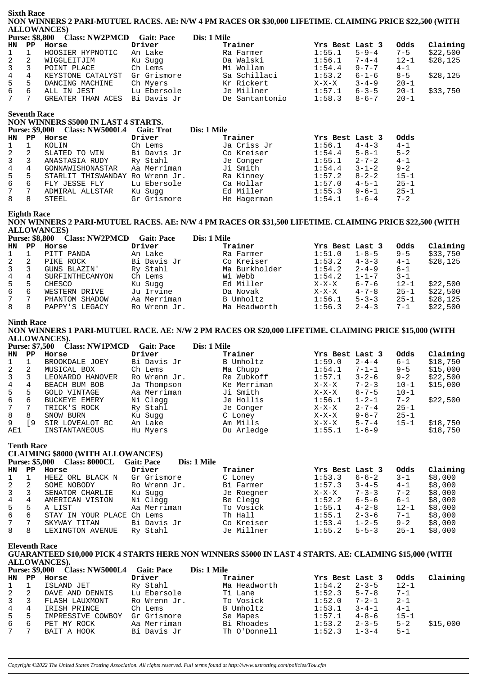## **Sixth Race** NON WINNERS 2 PARI-MUTUEL RACES. AE: N/W 4 PM RACES OR \$30,000 LIFETIME. CLAIMING PRICE \$22,500 (WITH **ALLOWANCES**

| <b>Purse: \$8,800</b> |    | <b>Class: NW2PMCD</b> | <b>Gait: Pace</b> | Dis: 1 Mile    |                 |             |          |          |
|-----------------------|----|-----------------------|-------------------|----------------|-----------------|-------------|----------|----------|
| HN PP                 |    | Horse                 | Driver            | Trainer        | Yrs Best Last 3 |             | Odds     | Claiming |
| $1 \quad$             |    | HOOSIER HYPNOTIC      | An Lake           | Ra Farmer      | 1:55.1          | $5 - 9 - 4$ | $7 - 5$  | \$22,500 |
| $\mathbf{2}$          | -2 | WIGGLEITJIM           | Ku Suqq           | Da Walski      | 1:56.1          | $7 - 4 - 4$ | $12 - 1$ | \$28,125 |
| $3 \overline{3}$      |    | POINT PLACE           | Ch Lems           | Mi Wollam      | 1:54.4          | $9 - 7 - 7$ | $4 - 1$  |          |
| $4 \quad$             | 4  | KEYSTONE CATALYST     | Gr Grismore       | Sa Schillaci   | 1:53.2          | $6 - 1 - 6$ | $8 - 5$  | \$28,125 |
| $5 -$                 | 5  | DANCING MACHINE       | Ch Myers          | Kr Rickert     | $X-X-X$         | $3 - 4 - 9$ | $20 - 1$ |          |
| 6                     | 6  | ALL IN JEST           | Lu Ebersole       | Je Millner     | 1:57.1          | $6 - 3 - 5$ | $20 - 1$ | \$33,750 |
| 7                     |    | GREATER THAN ACES     | Bi Davis Jr       | De Santantonio | 1:58.3          | $8 - 6 - 7$ | $20 - 1$ |          |

## **Seventh Race**

## NON WINNERS \$5000 IN LAST 4 STARTS.

|     | <b>Purse: \$9,000</b> | <b>Class: NW5000L4</b> | <b>Gait: Trot</b> | Dis: 1 Mile |                 |             |          |
|-----|-----------------------|------------------------|-------------------|-------------|-----------------|-------------|----------|
| HN. | PP                    | Horse                  | Driver            | Trainer     | Yrs Best Last 3 |             | Odds     |
|     |                       | KOLIN                  | Ch Lems           | Ja Criss Jr | 1:56.1          | $4 - 4 - 3$ | $4 - 1$  |
| 2   | 2                     | SLATED TO WIN          | Bi Davis Jr       | Co Kreiser  | 1:54.4          | $5 - 8 - 1$ | $5 - 2$  |
|     | 3                     | ANASTASIA RUDY         | Ry Stahl          | Je Conger   | 1:55.1          | $2 - 7 - 2$ | $4 - 1$  |
| 4   | 4                     | GONNAWISHONASTAR       | Aa Merriman       | Ji Smith    | 1:54.4          | $3 - 1 - 2$ | $9 - 2$  |
| 5   | 5                     | STARLIT THISWANDAY     | Ro Wrenn Jr.      | Ra Kinney   | 1:57.2          | $8 - 2 - 2$ | $15 - 1$ |
| 6   | 6                     | FLY JESSE FLY          | Lu Ebersole       | Ca Hollar   | 1:57.0          | $4 - 5 - 1$ | $25 - 1$ |
|     | 7                     | ADMIRAL ALLSTAR        | Ku Sugg           | Ed Miller   | 1:55.3          | $9 - 6 - 1$ | $25 - 1$ |
| 8   | 8                     | STEEL                  | Gr Grismore       | He Hagerman | 1:54.1          | $1 - 6 - 4$ | $7 - 2$  |

## **Eighth Race**

NON WINNERS 2 PARI-MUTUEL RACES. AE: N/W 4 PM RACES OR \$31,500 LIFETIME. CLAIMING PRICE \$22,500 (WITH ALLOWANCES)  $\frac{1}{2} \frac{1}{2} \frac{1}{2} \frac{1}{2} \frac{1}{2} \frac{1}{2} \frac{1}{2} \frac{1}{2} \frac{1}{2} \frac{1}{2} \frac{1}{2} \frac{1}{2} \frac{1}{2} \frac{1}{2} \frac{1}{2} \frac{1}{2} \frac{1}{2} \frac{1}{2} \frac{1}{2} \frac{1}{2} \frac{1}{2} \frac{1}{2} \frac{1}{2} \frac{1}{2} \frac{1}{2} \frac{1}{2} \frac{1}{2} \frac{1}{2} \frac{1}{2} \frac{1}{2} \frac{1}{2} \frac{$  $\sim$   $\sim$   $\sim$  $\frac{1}{2}$  .  $\frac{1}{2}$  .  $\frac{1}{2}$  .  $\frac{1}{2}$  .  $\frac{1}{2}$ 

|                | <b>Purse: \$8,800</b> | <b>Class: NW2PMCD</b> | Gait: Pace   | Dis: 1 Mile   |                 |             |          |          |
|----------------|-----------------------|-----------------------|--------------|---------------|-----------------|-------------|----------|----------|
| HN             | PP                    | Horse                 | Driver       | Trainer       | Yrs Best Last 3 |             | Odds     | Claiming |
|                |                       | PITT PANDA            | An Lake      | Ra Farmer     | 1:51.0          | $1 - 8 - 5$ | $9 - 5$  | \$33,750 |
| 2              | -2                    | PIKE ROCK             | Bi Davis Jr  | Co Kreiser    | 1:53.2          | $4 - 3 - 3$ | $4 - 1$  | \$28.125 |
| 3              |                       | GUNS BLAZIN'          | Ry Stahl     | Ma Burkholder | 1:54.2          | $2 - 4 - 9$ | $6 - 1$  |          |
| $\overline{4}$ | 4                     | SURFINTHECANYON       | Ch Lems      | Wi Webb       | 1:54.2          | $1 - 1 - 7$ | $3 - 1$  |          |
| 5              | 5                     | CHESCO                | Ku Sugg      | Ed Miller     | $X-X-X$         | $6 - 7 - 6$ | $12 - 1$ | \$22,500 |
| 6              | 6                     | WESTERN DRIVE         | Ju Irvine    | Da Novak      | $X-X-X$         | $4 - 7 - 8$ | $25 - 1$ | \$22,500 |
| 7              |                       | PHANTOM SHADOW        | Aa Merriman  | B Umholtz     | 1:56.1          | $5 - 3 - 3$ | $25 - 1$ | \$28,125 |
| 8              | 8                     | PAPPY'S LEGACY        | Ro Wrenn Jr. | Ma Headworth  | 1:56.3          | $2 - 4 - 3$ | $7 - 1$  | \$22,500 |

## **Ninth Race**

NON WINNERS 1 PARI-MUTUEL RACE. AE: N/W 2 PM RACES OR \$20,000 LIFETIME. CLAIMING PRICE \$15,000 (WITH **ALLOWANCES).** المساوي والمساوية والمستورة  $\alpha$  is  $\alpha$  $\mathbf{B}$  and  $\mathbf{B}$ 

|     | <b>Purse: \$7,500</b> | - Class: NW1PMCD    | Gait: Pace   | Dis: 1 Mile |                 |             |          |          |
|-----|-----------------------|---------------------|--------------|-------------|-----------------|-------------|----------|----------|
| HN  | PP.                   | Horse               | Driver       | Trainer     | Yrs Best Last 3 |             | Odds     | Claiming |
|     |                       | BROOKDALE JOEY      | Bi Davis Jr  | B Umholtz   | 1:59.0          | $2 - 4 - 4$ | $6 - 1$  | \$18,750 |
| 2   |                       | MUSICAL BOX         | Ch Lems      | Ma Chupp    | 1:54.1          | $7 - 1 - 1$ | $9 - 5$  | \$15,000 |
| 3   |                       | LEONARDO HANOVER    | Ro Wrenn Jr. | Re Zubkoff  | 1:57.1          | $3 - 2 - 6$ | $9 - 2$  | \$22,500 |
| 4   | 4                     | BEACH BUM BOB       | Ja Thompson  | Ke Merriman | $X-X-X$         | $7 - 2 - 3$ | $10 - 1$ | \$15,000 |
| 5   | 5                     | <b>GOLD VINTAGE</b> | Aa Merriman  | Ji Smith    | $X-X-X$         | $6 - 7 - 5$ | $10 - 1$ |          |
| 6   | 6                     | BUCKEYE EMERY       | Ni Clegg     | Je Hollis   | 1:56.1          | $1 - 2 - 1$ | $7 - 2$  | \$22.500 |
| 7   | 7                     | TRICK'S ROCK        | Ry Stahl     | Je Conger   | $X-X-X$         | $2 - 7 - 4$ | $25 - 1$ |          |
| 8   | 8                     | SNOW BURN           | Ku Sugg      | C Loney     | $X-X-X$         | $9 - 6 - 7$ | $25 - 1$ |          |
| 9   | 9                     | SIR LOVEALOT BC     | An Lake      | Am Mills    | $X-X-X$         | $5 - 7 - 4$ | $15 - 1$ | \$18,750 |
| AE1 |                       | INSTANTANEOUS       | Hu Myers     | Du Arledge  | 1:55.1          | $1 - 6 - 9$ |          | \$18,750 |

#### **Tenth Race**

## **CLAIMING \$8000 (WITH ALLOWANCES)**

|              | <b>Purse: \$5,000</b> | Class: 8000CL              | <b>Gait: Pace</b><br>Dis: 1 Mile |            |                 |             |          |          |
|--------------|-----------------------|----------------------------|----------------------------------|------------|-----------------|-------------|----------|----------|
| HN           | PP.                   | Horse                      | Driver                           | Trainer    | Yrs Best Last 3 |             | Odds     | Claiming |
| $\mathbf{1}$ |                       | HEEZ ORL BLACK N           | Gr Grismore                      | C Loney    | 1:53.3          | $6 - 6 - 2$ | $3 - 1$  | \$8,000  |
| 2            |                       | SOME NOBODY                | Ro Wrenn Jr.                     | Bi Farmer  | 1:57.3          | $3 - 4 - 5$ | $4 - 1$  | \$8,000  |
| 3            |                       | SENATOR CHARLIE            | Ku Sugg                          | Je Roegner | $X-X-X$         | $7 - 3 - 3$ | $7 - 2$  | \$8,000  |
| 4            | 4                     | AMERICAN VISION            | Ni Clegg                         | Be Clegg   | 1:52.2          | $6 - 5 - 6$ | $6 - 1$  | \$8,000  |
| 5            | د.                    | A LIST                     | Aa Merriman                      | To Vosick  | 1:55.1          | $4 - 2 - 8$ | $12 - 1$ | \$8,000  |
| 6            | 6                     | STAY IN YOUR PLACE Ch Lems |                                  | Th Hall    | 1:55.1          | $2 - 3 - 6$ | $7 - 1$  | \$8,000  |
| 7            |                       | SKYWAY TITAN               | Bi Davis Jr                      | Co Kreiser | 1:53.4          | $1 - 2 - 5$ | $9 - 2$  | \$8,000  |
| 8            | 8                     | LEXINGTON AVENUE           | Ry Stahl                         | Je Millner | 1:55.2          | $5 - 5 - 3$ | $25 - 1$ | \$8,000  |

**Eleventh Race** 

GUARANTEED \$10,000 PICK 4 STARTS HERE NON WINNERS \$5000 IN LAST 4 STARTS. AE: CLAIMING \$15,000 (WITH ALLOWANCES).  $\overline{C}$  $D^* = 1 M^*$ 

|                | <b>Purse: \$9,000</b> | Class: NW5000L4   | Gait: Pace   | Dis: 1 Mile  |                  |             |          |          |
|----------------|-----------------------|-------------------|--------------|--------------|------------------|-------------|----------|----------|
|                | HN PP                 | Horse             | Driver       | Trainer      | Yrs Best Last 3  |             | Odds     | Claiming |
| $1 \quad 1$    |                       | ISLAND JET        | Ry Stahl     | Ma Headworth | 1:54.2           | $2 - 3 - 5$ | $12 - 1$ |          |
| 2              | -2                    | DAVE AND DENNIS   | Lu Ebersole  | Ti Lane      | 1:52.3           | $5 - 7 - 8$ | $7 - 1$  |          |
| $\mathbf{3}$   |                       | FLASH LAUXMONT    | Ro Wrenn Jr. | To Vosick    | 1:52.0           | $7 - 2 - 1$ | $2 - 1$  |          |
| $\overline{4}$ | 4                     | IRISH PRINCE      | Ch Lems      | B Umholtz    | 1:53.1           | $3 - 4 - 1$ | $4 - 1$  |          |
| 5              | -5                    | IMPRESSIVE COWBOY | Gr Grismore  | Se Mapes     | 1:57.1           | $4 - 8 - 6$ | $15 - 1$ |          |
| 6              | 6                     | PET MY ROCK       | Aa Merriman  | Bi Rhoades   | 1:53.2           | $2 - 3 - 5$ | $5 - 2$  | \$15,000 |
|                |                       | BAIT A HOOK       | Bi Davis Jr  | Th O'Donnell | $1:52.3$ $1-3-4$ |             | $5 - 1$  |          |